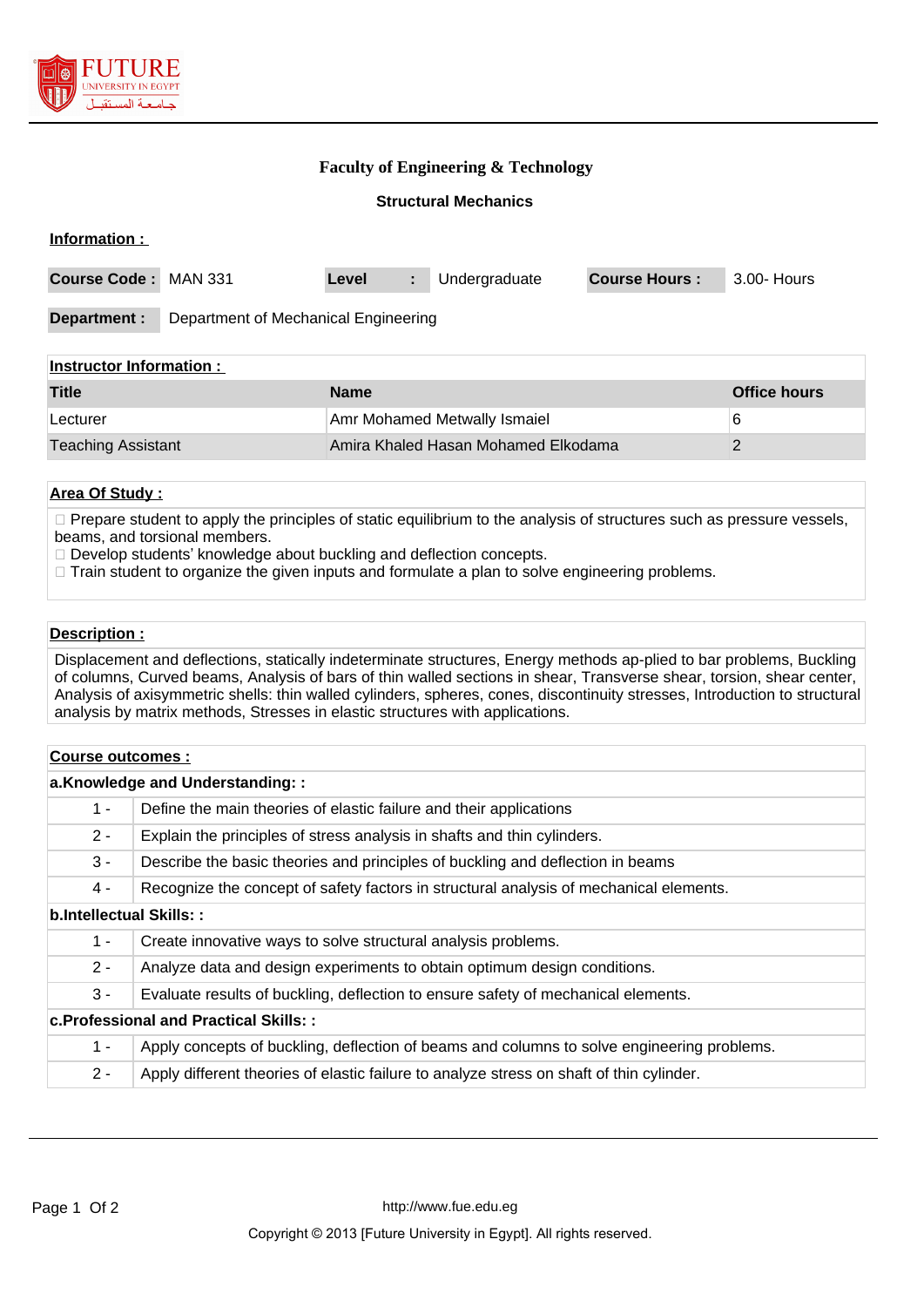

### **Faculty of Engineering & Technology**

#### **Structural Mechanics**

| Information :               |                                      |       |   |               |                      |             |
|-----------------------------|--------------------------------------|-------|---|---------------|----------------------|-------------|
| <b>Course Code: MAN 331</b> |                                      | Level | ÷ | Undergraduate | <b>Course Hours:</b> | 3.00- Hours |
| Department :                | Department of Mechanical Engineering |       |   |               |                      |             |
| Inctructor Information      |                                      |       |   |               |                      |             |

| <b>Title</b>              | <b>Name</b>                         | <b>Office hours</b> |
|---------------------------|-------------------------------------|---------------------|
| Lecturer                  | <b>Amr Mohamed Metwally Ismaiel</b> |                     |
| <b>Teaching Assistant</b> | Amira Khaled Hasan Mohamed Elkodama |                     |

### **Area Of Study :**

 $\Box$  Prepare student to apply the principles of static equilibrium to the analysis of structures such as pressure vessels, beams, and torsional members.

- □ Develop students' knowledge about buckling and deflection concepts.
- $\Box$  Train student to organize the given inputs and formulate a plan to solve engineering problems.

#### **Description :**

Displacement and deflections, statically indeterminate structures, Energy methods ap-plied to bar problems, Buckling of columns, Curved beams, Analysis of bars of thin walled sections in shear, Transverse shear, torsion, shear center, Analysis of axisymmetric shells: thin walled cylinders, spheres, cones, discontinuity stresses, Introduction to structural analysis by matrix methods, Stresses in elastic structures with applications.

| Course outcomes :                            |                                                                                            |  |  |  |
|----------------------------------------------|--------------------------------------------------------------------------------------------|--|--|--|
| a.Knowledge and Understanding::              |                                                                                            |  |  |  |
| $1 -$                                        | Define the main theories of elastic failure and their applications                         |  |  |  |
| $2 -$                                        | Explain the principles of stress analysis in shafts and thin cylinders.                    |  |  |  |
| $3 -$                                        | Describe the basic theories and principles of buckling and deflection in beams             |  |  |  |
| 4 -                                          | Recognize the concept of safety factors in structural analysis of mechanical elements.     |  |  |  |
| b.Intellectual Skills::                      |                                                                                            |  |  |  |
| $1 -$                                        | Create innovative ways to solve structural analysis problems.                              |  |  |  |
| $2 -$                                        | Analyze data and design experiments to obtain optimum design conditions.                   |  |  |  |
| $3 -$                                        | Evaluate results of buckling, deflection to ensure safety of mechanical elements.          |  |  |  |
| <b>c.Professional and Practical Skills::</b> |                                                                                            |  |  |  |
| $1 -$                                        | Apply concepts of buckling, deflection of beams and columns to solve engineering problems. |  |  |  |
| $2 -$                                        | Apply different theories of elastic failure to analyze stress on shaft of thin cylinder.   |  |  |  |